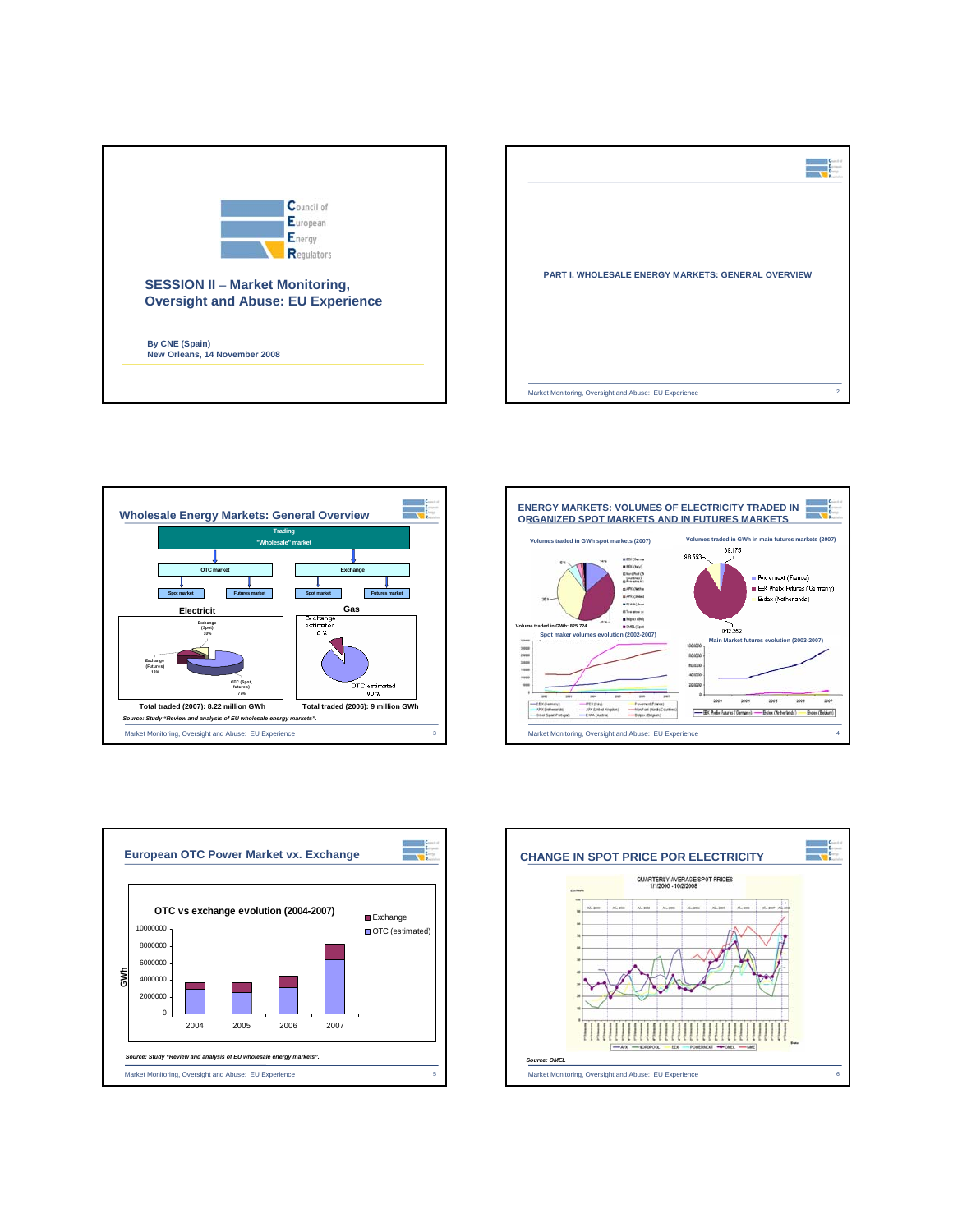









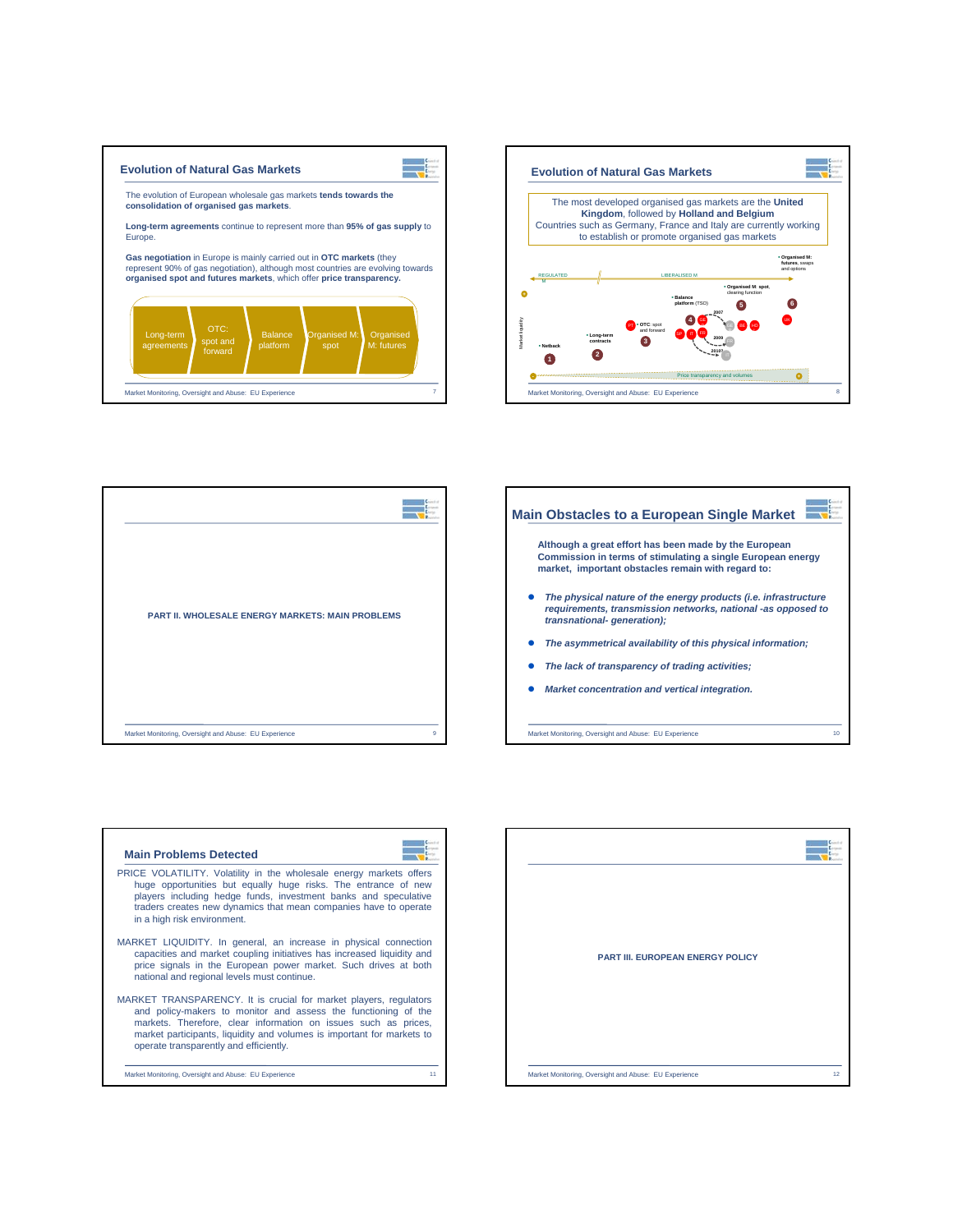